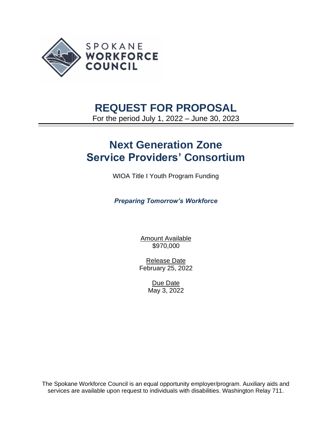

# **REQUEST FOR PROPOSAL**

For the period July 1, 2022 – June 30, 2023

# **Next Generation Zone Service Providers' Consortium**

WIOA Title I Youth Program Funding

*Preparing Tomorrow's Workforce*

Amount Available \$970,000

Release Date February 25, 2022

> Due Date May 3, 2022

The Spokane Workforce Council is an equal opportunity employer/program. Auxiliary aids and services are available upon request to individuals with disabilities. Washington Relay 711.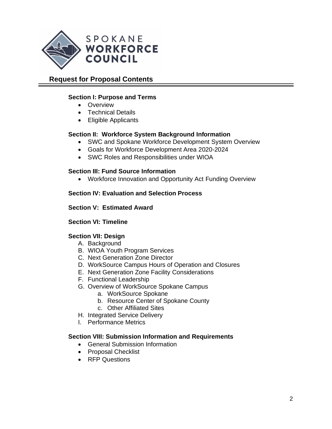

# **Request for Proposal Contents**

#### **Section I: Purpose and Terms**

- Overview
- Technical Details
- Eligible Applicants

#### **Section II: Workforce System Background Information**

- SWC and Spokane Workforce Development System Overview
- Goals for Workforce Development Area 2020-2024
- SWC Roles and Responsibilities under WIOA

#### **Section III: Fund Source Information**

• Workforce Innovation and Opportunity Act Funding Overview

#### **Section IV: Evaluation and Selection Process**

#### **Section V: Estimated Award**

#### **Section VI: Timeline**

#### **Section VII: Design**

- A. Background
- B. WIOA Youth Program Services
- C. Next Generation Zone Director
- D. WorkSource Campus Hours of Operation and Closures
- E. Next Generation Zone Facility Considerations
- F. Functional Leadership
- G. Overview of WorkSource Spokane Campus
	- a. WorkSource Spokane
	- b. Resource Center of Spokane County
	- c. Other Affiliated Sites
- H. Integrated Service Delivery
- I. Performance Metrics

#### **Section VIII: Submission Information and Requirements**

- General Submission Information
- Proposal Checklist
- RFP Questions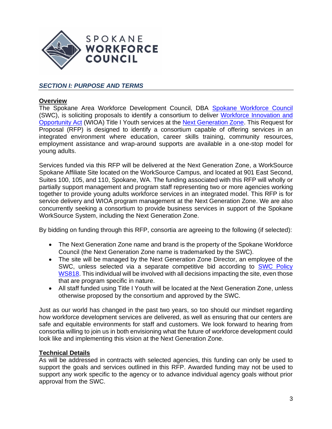

## *SECTION I: PURPOSE AND TERMS*

#### **Overview**

The Spokane Area Workforce Development Council, DBA [Spokane Workforce Council](https://wdcspokane.com/) (SWC), is soliciting proposals to identify a consortium to deliver [Workforce Innovation and](https://www.doleta.gov/wioa/)  [Opportunity Act](https://www.doleta.gov/wioa/) (WIOA) Title I Youth services at the [Next Generation Zone.](http://www.nextgenzone.org/) This Request for Proposal (RFP) is designed to identify a consortium capable of offering services in an integrated environment where education, career skills training, community resources, employment assistance and wrap-around supports are available in a one-stop model for young adults.

Services funded via this RFP will be delivered at the Next Generation Zone, a WorkSource Spokane Affiliate Site located on the WorkSource Campus, and located at 901 East Second, Suites 100, 105, and 110, Spokane, WA. The funding associated with this RFP will wholly or partially support management and program staff representing two or more agencies working together to provide young adults workforce services in an integrated model. This RFP is for service delivery and WIOA program management at the Next Generation Zone. We are also concurrently seeking a consortium to provide business services in support of the Spokane WorkSource System, including the Next Generation Zone.

By bidding on funding through this RFP, consortia are agreeing to the following (if selected):

- The Next Generation Zone name and brand is the property of the Spokane Workforce Council (the Next Generation Zone name is trademarked by the SWC).
- The site will be managed by the Next Generation Zone Director, an employee of the SWC, unless selected via a separate competitive bid according to [SWC Policy](https://spokaneworkforce.org/wp-content/uploads/2022/02/SWC-Policy-WS818-Next-Generation-Zone-Operator_R1.pdf)  [WS818.](https://spokaneworkforce.org/wp-content/uploads/2022/02/SWC-Policy-WS818-Next-Generation-Zone-Operator_R1.pdf) This individual will be involved with all decisions impacting the site, even those that are program specific in nature.
- All staff funded using Title I Youth will be located at the Next Generation Zone, unless otherwise proposed by the consortium and approved by the SWC.

Just as our world has changed in the past two years, so too should our mindset regarding how workforce development services are delivered, as well as ensuring that our centers are safe and equitable environments for staff and customers. We look forward to hearing from consortia willing to join us in both envisioning what the future of workforce development could look like and implementing this vision at the Next Generation Zone.

#### **Technical Details**

As will be addressed in contracts with selected agencies, this funding can only be used to support the goals and services outlined in this RFP. Awarded funding may not be used to support any work specific to the agency or to advance individual agency goals without prior approval from the SWC.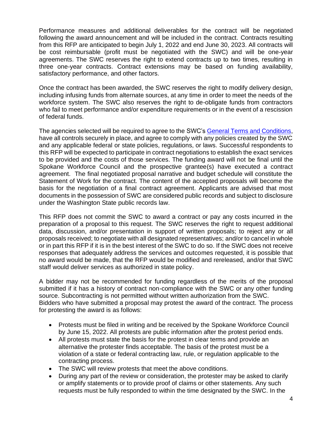Performance measures and additional deliverables for the contract will be negotiated following the award announcement and will be included in the contract. Contracts resulting from this RFP are anticipated to begin July 1, 2022 and end June 30, 2023. All contracts will be cost reimbursable (profit must be negotiated with the SWC) and will be one-year agreements. The SWC reserves the right to extend contracts up to two times, resulting in three one-year contracts. Contract extensions may be based on funding availability, satisfactory performance, and other factors.

Once the contract has been awarded, the SWC reserves the right to modify delivery design, including infusing funds from alternate sources, at any time in order to meet the needs of the workforce system. The SWC also reserves the right to de-obligate funds from contractors who fail to meet performance and/or expenditure requirements or in the event of a rescission of federal funds.

The agencies selected will be required to agree to the SWC'[s General Terms and Conditions,](https://spokaneworkforce.org/wp-content/uploads/2022/01/Current-WIOA-Grant-General-Terms-and-Conditions.pdf) have all controls securely in place, and agree to comply with any policies created by the SWC and any applicable federal or state policies, regulations, or laws. Successful respondents to this RFP will be expected to participate in contract negotiations to establish the exact services to be provided and the costs of those services. The funding award will not be final until the Spokane Workforce Council and the prospective grantee(s) have executed a contract agreement. The final negotiated proposal narrative and budget schedule will constitute the Statement of Work for the contract. The content of the accepted proposals will become the basis for the negotiation of a final contract agreement. Applicants are advised that most documents in the possession of SWC are considered public records and subject to disclosure under the Washington State public records law.

This RFP does not commit the SWC to award a contract or pay any costs incurred in the preparation of a proposal to this request. The SWC reserves the right to request additional data, discussion, and/or presentation in support of written proposals; to reject any or all proposals received; to negotiate with all designated representatives; and/or to cancel in whole or in part this RFP if it is in the best interest of the SWC to do so. If the SWC does not receive responses that adequately address the services and outcomes requested, it is possible that no award would be made, that the RFP would be modified and rereleased, and/or that SWC staff would deliver services as authorized in state policy.

A bidder may not be recommended for funding regardless of the merits of the proposal submitted if it has a history of contract non-compliance with the SWC or any other funding source. Subcontracting is not permitted without written authorization from the SWC. Bidders who have submitted a proposal may protest the award of the contract. The process for protesting the award is as follows:

- Protests must be filed in writing and be received by the Spokane Workforce Council by June 15, 2022. All protests are public information after the protest period ends.
- All protests must state the basis for the protest in clear terms and provide an alternative the protester finds acceptable. The basis of the protest must be a violation of a state or federal contracting law, rule, or regulation applicable to the contracting process.
- The SWC will review protests that meet the above conditions.
- During any part of the review or consideration, the protester may be asked to clarify or amplify statements or to provide proof of claims or other statements. Any such requests must be fully responded to within the time designated by the SWC. In the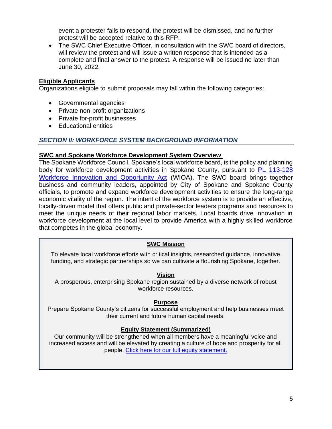event a protester fails to respond, the protest will be dismissed, and no further protest will be accepted relative to this RFP.

• The SWC Chief Executive Officer, in consultation with the SWC board of directors, will review the protest and will issue a written response that is intended as a complete and final answer to the protest. A response will be issued no later than June 30, 2022.

#### **Eligible Applicants**

Organizations eligible to submit proposals may fall within the following categories:

- Governmental agencies
- Private non-profit organizations
- Private for-profit businesses
- Educational entities

#### *SECTION II: WORKFORCE SYSTEM BACKGROUND INFORMATION*

#### **SWC and Spokane Workforce Development System Overview**

The Spokane Workforce Council, Spokane's local workforce board, is the policy and planning body for workforce development activities in Spokane County, pursuant to PL 113-128 [Workforce Innovation and Opportunity Act](https://www.govinfo.gov/content/pkg/PLAW-113publ128/pdf/PLAW-113publ128.pdf) (WIOA). The SWC board brings together business and community leaders, appointed by City of Spokane and Spokane County officials, to promote and expand workforce development activities to ensure the long-range economic vitality of the region. The intent of the workforce system is to provide an effective, locally-driven model that offers public and private-sector leaders programs and resources to meet the unique needs of their regional labor markets. Local boards drive innovation in workforce development at the local level to provide America with a highly skilled workforce that competes in the global economy.

#### **SWC Mission**

To elevate local workforce efforts with critical insights, researched guidance, innovative funding, and strategic partnerships so we can cultivate a flourishing Spokane, together.

#### **Vision**

A prosperous, enterprising Spokane region sustained by a diverse network of robust workforce resources.

#### **Purpose**

Prepare Spokane County's citizens for successful employment and help businesses meet their current and future human capital needs.

#### **Equity Statement (Summarized)**

Our community will be strengthened when all members have a meaningful voice and increased access and will be elevated by creating a culture of hope and prosperity for all people. [Click here for our full equity statement.](https://spokaneworkforce.org/about-spokane-workforce-council/dei/)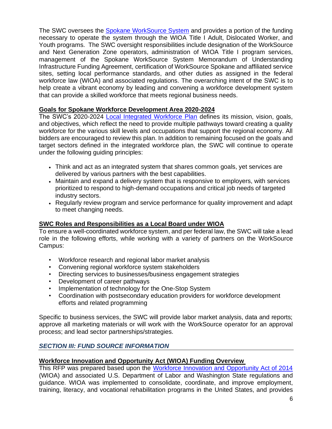The SWC oversees the [Spokane WorkSource System](https://spokaneworkforce.org/skilled-employees/) and provides a portion of the funding necessary to operate the system through the WIOA Title I Adult, Dislocated Worker, and Youth programs. The SWC oversight responsibilities include designation of the WorkSource and Next Generation Zone operators, administration of WIOA Title I program services, management of the Spokane WorkSource System Memorandum of Understanding Infrastructure Funding Agreement, certification of WorkSource Spokane and affiliated service sites, setting local performance standards, and other duties as assigned in the federal workforce law (WIOA) and associated regulations. The overarching intent of the SWC is to help create a vibrant economy by leading and convening a workforce development system that can provide a skilled workforce that meets regional business needs.

## **Goals for Spokane Workforce Development Area 2020-2024**

The SWC's 2020-2024 [Local Integrated Workforce Plan](https://spokaneworkforce.org/workforce-resources/plans-mous/) defines its mission, vision, goals, and objectives, which reflect the need to provide multiple pathways toward creating a quality workforce for the various skill levels and occupations that support the regional economy. All bidders are encouraged to review this plan. In addition to remaining focused on the goals and target sectors defined in the integrated workforce plan, the SWC will continue to operate under the following guiding principles:

- Think and act as an integrated system that shares common goals, yet services are delivered by various partners with the best capabilities.
- Maintain and expand a delivery system that is responsive to employers, with services prioritized to respond to high-demand occupations and critical job needs of targeted industry sectors.
- Regularly review program and service performance for quality improvement and adapt to meet changing needs.

#### **SWC Roles and Responsibilities as a Local Board under WIOA**

To ensure a well-coordinated workforce system, and per federal law, the SWC will take a lead role in the following efforts, while working with a variety of partners on the WorkSource Campus:

- Workforce research and regional labor market analysis
- Convening regional workforce system stakeholders
- Directing services to businesses/business engagement strategies
- Development of career pathways
- Implementation of technology for the One-Stop System
- Coordination with postsecondary education providers for workforce development efforts and related programming

Specific to business services, the SWC will provide labor market analysis, data and reports; approve all marketing materials or will work with the WorkSource operator for an approval process; and lead sector partnerships/strategies.

## *SECTION III: FUND SOURCE INFORMATION*

#### **Workforce Innovation and Opportunity Act (WIOA) Funding Overview**

This RFP was prepared based upon the [Workforce Innovation and Opportunity Act of 2014](https://www.doleta.gov/wioa/) (WIOA) and associated U.S. Department of Labor and Washington State regulations and guidance. WIOA was implemented to consolidate, coordinate, and improve employment, training, literacy, and vocational rehabilitation programs in the United States, and provides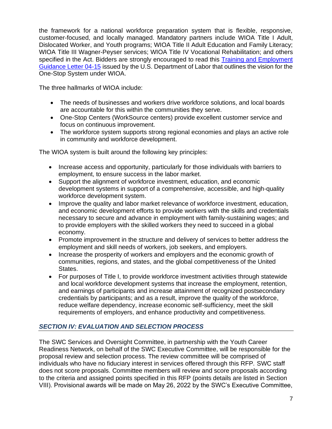the framework for a national workforce preparation system that is flexible, responsive, customer-focused, and locally managed. Mandatory partners include WIOA Title I Adult, Dislocated Worker, and Youth programs; WIOA Title II Adult Education and Family Literacy; WIOA Title III Wagner-Peyser services; WIOA Title IV Vocational Rehabilitation; and others specified in the Act. Bidders are strongly encouraged to read this Training and Employment [Guidance Letter](https://wdr.doleta.gov/directives/corr_doc.cfm?DOCN=6455) 04-15 issued by the U.S. Department of Labor that outlines the vision for the One-Stop System under WIOA.

The three hallmarks of WIOA include:

- The needs of businesses and workers drive workforce solutions, and local boards are accountable for this within the communities they serve.
- One-Stop Centers (WorkSource centers) provide excellent customer service and focus on continuous improvement.
- The workforce system supports strong regional economies and plays an active role in community and workforce development.

The WIOA system is built around the following key principles:

- Increase access and opportunity, particularly for those individuals with barriers to employment, to ensure success in the labor market.
- Support the alignment of workforce investment, education, and economic development systems in support of a comprehensive, accessible, and high-quality workforce development system.
- Improve the quality and labor market relevance of workforce investment, education, and economic development efforts to provide workers with the skills and credentials necessary to secure and advance in employment with family-sustaining wages; and to provide employers with the skilled workers they need to succeed in a global economy.
- Promote improvement in the structure and delivery of services to better address the employment and skill needs of workers, job seekers, and employers.
- Increase the prosperity of workers and employers and the economic growth of communities, regions, and states, and the global competitiveness of the United States.
- For purposes of Title I, to provide workforce investment activities through statewide and local workforce development systems that increase the employment, retention, and earnings of participants and increase attainment of recognized postsecondary credentials by participants; and as a result, improve the quality of the workforce, reduce welfare dependency, increase economic self-sufficiency, meet the skill requirements of employers, and enhance productivity and competitiveness.

# *SECTION IV: EVALUATION AND SELECTION PROCESS*

The SWC Services and Oversight Committee, in partnership with the Youth Career Readiness Network, on behalf of the SWC Executive Committee, will be responsible for the proposal review and selection process. The review committee will be comprised of individuals who have no fiduciary interest in services offered through this RFP. SWC staff does not score proposals. Committee members will review and score proposals according to the criteria and assigned points specified in this RFP (points details are listed in Section VIII). Provisional awards will be made on May 26, 2022 by the SWC's Executive Committee,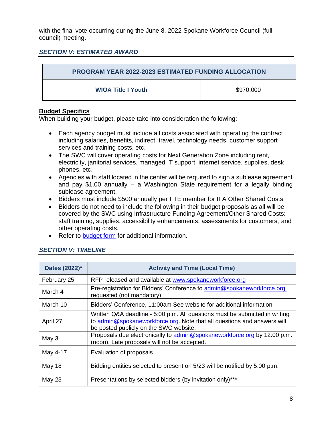with the final vote occurring during the June 8, 2022 Spokane Workforce Council (full council) meeting.

## *SECTION V: ESTIMATED AWARD*

| <b>PROGRAM YEAR 2022-2023 ESTIMATED FUNDING ALLOCATION</b> |           |
|------------------------------------------------------------|-----------|
| <b>WIOA Title I Youth</b>                                  | \$970,000 |

#### **Budget Specifics**

When building your budget, please take into consideration the following:

- Each agency budget must include all costs associated with operating the contract including salaries, benefits, indirect, travel, technology needs, customer support services and training costs, etc.
- The SWC will cover operating costs for Next Generation Zone including rent, electricity, janitorial services, managed IT support, internet service, supplies, desk phones, etc.
- Agencies with staff located in the center will be required to sign a sublease agreement and pay \$1.00 annually – a Washington State requirement for a legally binding sublease agreement.
- Bidders must include \$500 annually per FTE member for IFA Other Shared Costs.
- Bidders do not need to include the following in their budget proposals as all will be covered by the SWC using Infrastructure Funding Agreement/Other Shared Costs: staff training, supplies, accessibility enhancements, assessments for customers, and other operating costs.
- Refer to [budget form](https://spokaneworkforce.org/wp-content/uploads/2022/01/Sub-budget-template-With-Direct-Client-Services.xlsx) for additional information.

| Dates (2022)* | <b>Activity and Time (Local Time)</b>                                                                                                                                                            |
|---------------|--------------------------------------------------------------------------------------------------------------------------------------------------------------------------------------------------|
| February 25   | RFP released and available at www.spokaneworkforce.org                                                                                                                                           |
| March 4       | Pre-registration for Bidders' Conference to admin@spokaneworkforce.org<br>requested (not mandatory)                                                                                              |
| March 10      | Bidders' Conference, 11:00am See website for additional information                                                                                                                              |
| April 27      | Written Q&A deadline - 5:00 p.m. All questions must be submitted in writing<br>to admin@spokaneworkforce.org. Note that all questions and answers will<br>be posted publicly on the SWC website. |
| May 3         | Proposals due electronically to admin@spokaneworkforce.org by 12:00 p.m.<br>(noon). Late proposals will not be accepted.                                                                         |
| May 4-17      | Evaluation of proposals                                                                                                                                                                          |
| May 18        | Bidding entities selected to present on 5/23 will be notified by 5:00 p.m.                                                                                                                       |
| <b>May 23</b> | Presentations by selected bidders (by invitation only)***                                                                                                                                        |

## *SECTION V: TIMELINE*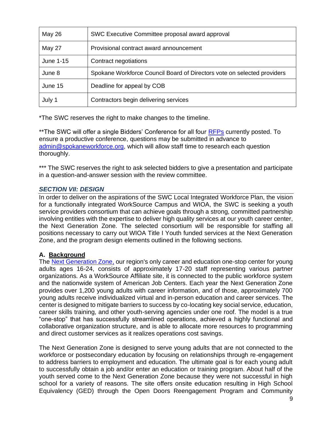| May 26    | SWC Executive Committee proposal award approval                         |
|-----------|-------------------------------------------------------------------------|
| May 27    | Provisional contract award announcement                                 |
| June 1-15 | Contract negotiations                                                   |
| June 8    | Spokane Workforce Council Board of Directors vote on selected providers |
| June 15   | Deadline for appeal by COB                                              |
| July 1    | Contractors begin delivering services                                   |

\*The SWC reserves the right to make changes to the timeline.

\*\*The SWC will offer a single Bidders' Conference for all four [RFPs](https://wdcspokane.com/rfps) currently posted. To ensure a productive conference, questions may be submitted in advance to [admin@spokaneworkforce.org,](mailto:admin@spokaneworkforce.org) which will allow staff time to research each question thoroughly.

\*\*\* The SWC reserves the right to ask selected bidders to give a presentation and participate in a question-and-answer session with the review committee.

## *SECTION VII: DESIGN*

In order to deliver on the aspirations of the SWC Local Integrated Workforce Plan, the vision for a functionally integrated WorkSource Campus and WIOA, the SWC is seeking a youth service providers consortium that can achieve goals through a strong, committed partnership involving entities with the expertise to deliver high quality services at our youth career center, the Next Generation Zone. The selected consortium will be responsible for staffing all positions necessary to carry out WIOA Title I Youth funded services at the Next Generation Zone, and the program design elements outlined in the following sections.

## **A. Background**

The **Next Generation Zone**, our region's only career and education one-stop center for young adults ages 16-24, consists of approximately 17-20 staff representing various partner organizations. As a WorkSource Affiliate site, it is connected to the public workforce system and the nationwide system of American Job Centers. Each year the Next Generation Zone provides over 1,200 young adults with career information, and of those, approximately 700 young adults receive individualized virtual and in-person education and career services. The center is designed to mitigate barriers to success by co-locating key social service, education, career skills training, and other youth-serving agencies under one roof. The model is a true "one-stop" that has successfully streamlined operations, achieved a highly functional and collaborative organization structure, and is able to allocate more resources to programming and direct customer services as it realizes operations cost savings.

The Next Generation Zone is designed to serve young adults that are not connected to the workforce or postsecondary education by focusing on relationships through re-engagement to address barriers to employment and education. The ultimate goal is for each young adult to successfully obtain a job and/or enter an education or training program. About half of the youth served come to the Next Generation Zone because they were not successful in high school for a variety of reasons. The site offers onsite education resulting in High School Equivalency (GED) through the Open Doors Reengagement Program and Community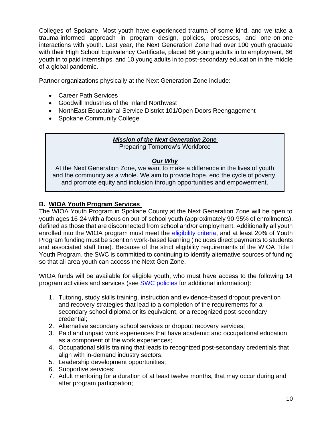Colleges of Spokane. Most youth have experienced trauma of some kind, and we take a trauma-informed approach in program design, policies, processes, and one-on-one interactions with youth. Last year, the Next Generation Zone had over 100 youth graduate with their High School Equivalency Certificate, placed 66 young adults in to employment, 66 youth in to paid internships, and 10 young adults in to post-secondary education in the middle of a global pandemic.

Partner organizations physically at the Next Generation Zone include:

- Career Path Services
- Goodwill Industries of the Inland Northwest
- NorthEast Educational Service District 101/Open Doors Reengagement
- Spokane Community College

## *Mission of the Next Generation Zone*

Preparing Tomorrow's Workforce

#### *Our Why*

At the Next Generation Zone, we want to make a difference in the lives of youth and the community as a whole. We aim to provide hope, end the cycle of poverty, and promote equity and inclusion through opportunities and empowerment.

## **B. WIOA Youth Program Services**

The WIOA Youth Program in Spokane County at the Next Generation Zone will be open to youth ages 16-24 with a focus on out-of-school youth (approximately 90-95% of enrollments), defined as those that are disconnected from school and/or employment. Additionally all youth enrolled into the WIOA program must meet the [eligibility criteria,](http://www.wdcspokane.com/core/files/wdcspokane/uploads/files/SAWDC%20Policy%20W401%20Rev2%20-%20SAWDC%20Eligibility%20and%20Documentation%20Requirements%20022216.pdf) and at least 20% of Youth Program funding must be spent on work-based learning (includes direct payments to students and associated staff time). Because of the strict eligibility requirements of the WIOA Title I Youth Program, the SWC is committed to continuing to identify alternative sources of funding so that all area youth can access the Next Gen Zone.

WIOA funds will be available for eligible youth, who must have access to the following 14 program activities and services (see [SWC policies](https://wdcspokane.com/policies) for additional information):

- 1. Tutoring, study skills training, instruction and evidence-based dropout prevention and recovery strategies that lead to a completion of the requirements for a secondary school diploma or its equivalent, or a recognized post-secondary credential;
- 2. Alternative secondary school services or dropout recovery services;
- 3. Paid and unpaid work experiences that have academic and occupational education as a component of the work experiences;
- 4. Occupational skills training that leads to recognized post-secondary credentials that align with in-demand industry sectors;
- 5. Leadership development opportunities;
- 6. Supportive services;
- 7. Adult mentoring for a duration of at least twelve months, that may occur during and after program participation;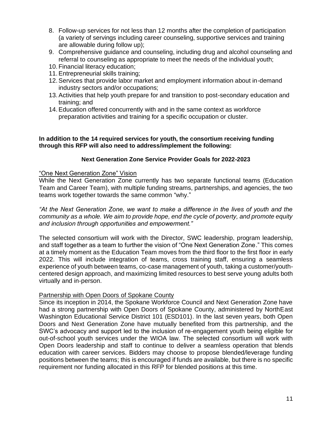- 8. Follow-up services for not less than 12 months after the completion of participation (a variety of servings including career counseling, supportive services and training are allowable during follow up);
- 9. Comprehensive guidance and counseling, including drug and alcohol counseling and referral to counseling as appropriate to meet the needs of the individual youth;
- 10. Financial literacy education;
- 11.Entrepreneurial skills training;
- 12.Services that provide labor market and employment information about in-demand industry sectors and/or occupations;
- 13.Activities that help youth prepare for and transition to post-secondary education and training; and
- 14.Education offered concurrently with and in the same context as workforce preparation activities and training for a specific occupation or cluster.

#### **In addition to the 14 required services for youth, the consortium receiving funding through this RFP will also need to address/implement the following:**

#### **Next Generation Zone Service Provider Goals for 2022-2023**

#### "One Next Generation Zone" Vision

While the Next Generation Zone currently has two separate functional teams (Education Team and Career Team), with multiple funding streams, partnerships, and agencies, the two teams work together towards the same common "why."

*"At the Next Generation Zone, we want to make a difference in the lives of youth and the community as a whole. We aim to provide hope, end the cycle of poverty, and promote equity and inclusion through opportunities and empowerment."*

The selected consortium will work with the Director, SWC leadership, program leadership, and staff together as a team to further the vision of "One Next Generation Zone." This comes at a timely moment as the Education Team moves from the third floor to the first floor in early 2022. This will include integration of teams, cross training staff, ensuring a seamless experience of youth between teams, co-case management of youth, taking a customer/youthcentered design approach, and maximizing limited resources to best serve young adults both virtually and in-person.

#### Partnership with Open Doors of Spokane County

Since its inception in 2014, the Spokane Workforce Council and Next Generation Zone have had a strong partnership with Open Doors of Spokane County, administered by NorthEast Washington Educational Service District 101 (ESD101). In the last seven years, both Open Doors and Next Generation Zone have mutually benefited from this partnership, and the SWC's advocacy and support led to the inclusion of re-engagement youth being eligible for out-of-school youth services under the WIOA law. The selected consortium will work with Open Doors leadership and staff to continue to deliver a seamless operation that blends education with career services. Bidders may choose to propose blended/leverage funding positions between the teams; this is encouraged if funds are available, but there is no specific requirement nor funding allocated in this RFP for blended positions at this time.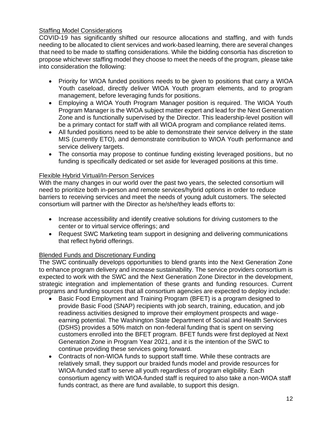## Staffing Model Considerations

COVID-19 has significantly shifted our resource allocations and staffing, and with funds needing to be allocated to client services and work-based learning, there are several changes that need to be made to staffing considerations. While the bidding consortia has discretion to propose whichever staffing model they choose to meet the needs of the program, please take into consideration the following:

- Priority for WIOA funded positions needs to be given to positions that carry a WIOA Youth caseload, directly deliver WIOA Youth program elements, and to program management, before leveraging funds for positions.
- Employing a WIOA Youth Program Manager position is required. The WIOA Youth Program Manager is the WIOA subject matter expert and lead for the Next Generation Zone and is functionally supervised by the Director. This leadership-level position will be a primary contact for staff with all WIOA program and compliance related items.
- All funded positions need to be able to demonstrate their service delivery in the state MIS (currently ETO), and demonstrate contribution to WIOA Youth performance and service delivery targets.
- The consortia may propose to continue funding existing leveraged positions, but no funding is specifically dedicated or set aside for leveraged positions at this time.

#### Flexible Hybrid Virtual/In-Person Services

With the many changes in our world over the past two years, the selected consortium will need to prioritize both in-person and remote services/hybrid options in order to reduce barriers to receiving services and meet the needs of young adult customers. The selected consortium will partner with the Director as he/she/they leads efforts to:

- Increase accessibility and identify creative solutions for driving customers to the center or to virtual service offerings; and
- Request SWC Marketing team support in designing and delivering communications that reflect hybrid offerings.

## Blended Funds and Discretionary Funding

The SWC continually develops opportunities to blend grants into the Next Generation Zone to enhance program delivery and increase sustainability. The service providers consortium is expected to work with the SWC and the Next Generation Zone Director in the development, strategic integration and implementation of these grants and funding resources. Current programs and funding sources that all consortium agencies are expected to deploy include:

- Basic Food Employment and Training Program (BFET) is a program designed to provide Basic Food (SNAP) recipients with job search, training, education, and job readiness activities designed to improve their employment prospects and wageearning potential. The Washington State Department of Social and Health Services (DSHS) provides a 50% match on non-federal funding that is spent on serving customers enrolled into the BFET program. BFET funds were first deployed at Next Generation Zone in Program Year 2021, and it is the intention of the SWC to continue providing these services going forward.
- Contracts of non-WIOA funds to support staff time. While these contracts are relatively small, they support our braided funds model and provide resources for WIOA-funded staff to serve all youth regardless of program eligibility. Each consortium agency with WIOA-funded staff is required to also take a non-WIOA staff funds contract, as there are fund available, to support this design.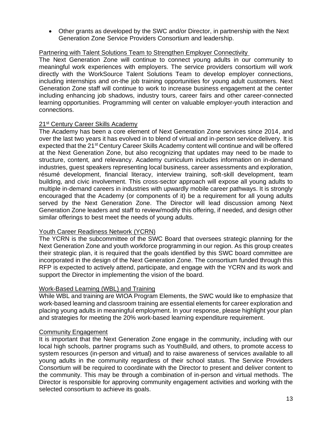• Other grants as developed by the SWC and/or Director, in partnership with the Next Generation Zone Service Providers Consortium and leadership.

#### Partnering with Talent Solutions Team to Strengthen Employer Connectivity

The Next Generation Zone will continue to connect young adults in our community to meaningful work experiences with employers. The service providers consortium will work directly with the WorkSource Talent Solutions Team to develop employer connections, including internships and on-the job training opportunities for young adult customers. Next Generation Zone staff will continue to work to increase business engagement at the center including enhancing job shadows, industry tours, career fairs and other career-connected learning opportunities. Programming will center on valuable employer-youth interaction and connections.

#### 21<sup>st</sup> Century Career Skills Academy

The Academy has been a core element of Next Generation Zone services since 2014, and over the last two years it has evolved in to blend of virtual and in-person service delivery. It is expected that the 21<sup>st</sup> Century Career Skills Academy content will continue and will be offered at the Next Generation Zone, but also recognizing that updates may need to be made to structure, content, and relevancy. Academy curriculum includes information on in-demand industries, guest speakers representing local business, career assessments and exploration, résumé development, financial literacy, interview training, soft-skill development, team building, and civic involvement. This cross-sector approach will expose all young adults to multiple in-demand careers in industries with upwardly mobile career pathways. It is strongly encouraged that the Academy (or components of it) be a requirement for all young adults served by the Next Generation Zone. The Director will lead discussion among Next Generation Zone leaders and staff to review/modify this offering, if needed, and design other similar offerings to best meet the needs of young adults.

#### Youth Career Readiness Network (YCRN)

The YCRN is the subcommittee of the SWC Board that oversees strategic planning for the Next Generation Zone and youth workforce programming in our region. As this group creates their strategic plan, it is required that the goals identified by this SWC board committee are incorporated in the design of the Next Generation Zone. The consortium funded through this RFP is expected to actively attend, participate, and engage with the YCRN and its work and support the Director in implementing the vision of the board.

#### Work-Based Learning (WBL) and Training

While WBL and training are WIOA Program Elements, the SWC would like to emphasize that work-based learning and classroom training are essential elements for career exploration and placing young adults in meaningful employment. In your response, please highlight your plan and strategies for meeting the 20% work-based learning expenditure requirement.

#### Community Engagement

It is important that the Next Generation Zone engage in the community, including with our local high schools, partner programs such as YouthBuild, and others, to promote access to system resources (in-person and virtual) and to raise awareness of services available to all young adults in the community regardless of their school status. The Service Providers Consortium will be required to coordinate with the Director to present and deliver content to the community. This may be through a combination of in-person and virtual methods. The Director is responsible for approving community engagement activities and working with the selected consortium to achieve its goals.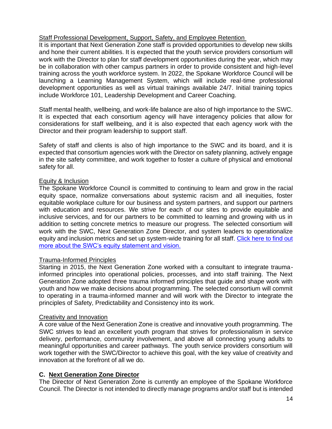## Staff Professional Development, Support, Safety, and Employee Retention

It is important that Next Generation Zone staff is provided opportunities to develop new skills and hone their current abilities. It is expected that the youth service providers consortium will work with the Director to plan for staff development opportunities during the year, which may be in collaboration with other campus partners in order to provide consistent and high-level training across the youth workforce system. In 2022, the Spokane Workforce Council will be launching a Learning Management System, which will include real-time professional development opportunities as well as virtual trainings available 24/7. Initial training topics include Workforce 101, Leadership Development and Career Coaching.

Staff mental health, wellbeing, and work-life balance are also of high importance to the SWC. It is expected that each consortium agency will have interagency policies that allow for considerations for staff wellbeing, and it is also expected that each agency work with the Director and their program leadership to support staff.

Safety of staff and clients is also of high importance to the SWC and its board, and it is expected that consortium agencies work with the Director on safety planning, actively engage in the site safety committee, and work together to foster a culture of physical and emotional safety for all.

#### Equity & Inclusion

The Spokane Workforce Council is committed to continuing to learn and grow in the racial equity space, normalize conversations about systemic racism and all inequities, foster equitable workplace culture for our business and system partners, and support our partners with education and resources. We strive for each of our sites to provide equitable and inclusive services, and for our partners to be committed to learning and growing with us in addition to setting concrete metrics to measure our progress. The selected consortium will work with the SWC, Next Generation Zone Director, and system leaders to operationalize equity and inclusion metrics and set up system-wide training for all staff. Click here to find out [more about the SWC's equity statement and vision.](https://spokaneworkforce.org/about-spokane-workforce-council/dei/)

## Trauma-Informed Principles

Starting in 2015, the Next Generation Zone worked with a consultant to integrate traumainformed principles into operational policies, processes, and into staff training. The Next Generation Zone adopted three trauma informed principles that guide and shape work with youth and how we make decisions about programming. The selected consortium will commit to operating in a trauma-informed manner and will work with the Director to integrate the principles of Safety, Predictability and Consistency into its work.

## Creativity and Innovation

A core value of the Next Generation Zone is creative and innovative youth programming. The SWC strives to lead an excellent youth program that strives for professionalism in service delivery, performance, community involvement, and above all connecting young adults to meaningful opportunities and career pathways. The youth service providers consortium will work together with the SWC/Director to achieve this goal, with the key value of creativity and innovation at the forefront of all we do.

## **C. Next Generation Zone Director**

The Director of Next Generation Zone is currently an employee of the Spokane Workforce Council. The Director is not intended to directly manage programs and/or staff but is intended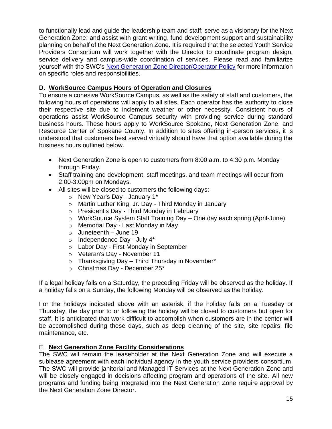to functionally lead and guide the leadership team and staff; serve as a visionary for the Next Generation Zone; and assist with grant writing, fund development support and sustainability planning on behalf of the Next Generation Zone. It is required that the selected Youth Service Providers Consortium will work together with the Director to coordinate program design, service delivery and campus-wide coordination of services. Please read and familiarize yourself with the SWC's [Next Generation Zone Director/Operator Policy](https://spokaneworkforce.org/wp-content/uploads/2022/02/SWC-Policy-WS818-Next-Generation-Zone-Operator_R1.pdf) for more information on specific roles and responsibilities.

## **D. WorkSource Campus Hours of Operation and Closures**

To ensure a cohesive WorkSource Campus, as well as the safety of staff and customers, the following hours of operations will apply to all sites. Each operator has the authority to close their respective site due to inclement weather or other necessity. Consistent hours of operations assist WorkSource Campus security with providing service during standard business hours. These hours apply to WorkSource Spokane, Next Generation Zone, and Resource Center of Spokane County. In addition to sites offering in-person services, it is understood that customers best served virtually should have that option available during the business hours outlined below.

- Next Generation Zone is open to customers from 8:00 a.m. to 4:30 p.m. Monday through Friday.
- Staff training and development, staff meetings, and team meetings will occur from 2:00-3:00pm on Mondays.
- All sites will be closed to customers the following days:
	- o New Year's Day January 1\*
	- o Martin Luther King, Jr. Day Third Monday in January
	- o President's Day Third Monday in February
	- o WorkSource System Staff Training Day One day each spring (April-June)
	- o Memorial Day Last Monday in May
	- $\circ$  Juneteenth June 19
	- $\circ$  Independence Day July 4\*
	- o Labor Day First Monday in September
	- o Veteran's Day November 11
	- $\circ$  Thanksgiving Day Third Thursday in November\*
	- o Christmas Day December 25\*

If a legal holiday falls on a Saturday, the preceding Friday will be observed as the holiday. If a holiday falls on a Sunday, the following Monday will be observed as the holiday.

For the holidays indicated above with an asterisk, if the holiday falls on a Tuesday or Thursday, the day prior to or following the holiday will be closed to customers but open for staff. It is anticipated that work difficult to accomplish when customers are in the center will be accomplished during these days, such as deep cleaning of the site, site repairs, file maintenance, etc.

## E. **Next Generation Zone Facility Considerations**

The SWC will remain the leaseholder at the Next Generation Zone and will execute a sublease agreement with each individual agency in the youth service providers consortium. The SWC will provide janitorial and Managed IT Services at the Next Generation Zone and will be closely engaged in decisions affecting program and operations of the site. All new programs and funding being integrated into the Next Generation Zone require approval by the Next Generation Zone Director.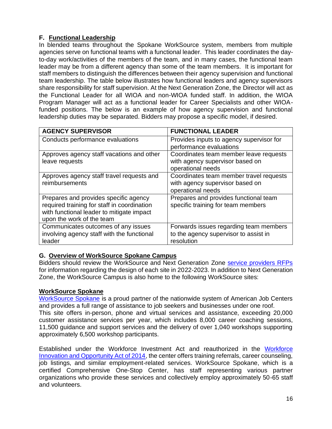# **F. Functional Leadership**

In blended teams throughout the Spokane WorkSource system, members from multiple agencies serve on functional teams with a functional leader. This leader coordinates the dayto-day work/activities of the members of the team, and in many cases, the functional team leader may be from a different agency than some of the team members. It is important for staff members to distinguish the differences between their agency supervision and functional team leadership. The table below illustrates how functional leaders and agency supervisors share responsibility for staff supervision. At the Next Generation Zone, the Director will act as the Functional Leader for all WIOA and non-WIOA funded staff. In addition, the WIOA Program Manager will act as a functional leader for Career Specialists and other WIOAfunded positions. The below is an example of how agency supervision and functional leadership duties may be separated. Bidders may propose a specific model, if desired.

| <b>AGENCY SUPERVISOR</b>                    | <b>FUNCTIONAL LEADER</b>                 |
|---------------------------------------------|------------------------------------------|
| Conducts performance evaluations            | Provides inputs to agency supervisor for |
|                                             | performance evaluations                  |
| Approves agency staff vacations and other   | Coordinates team member leave requests   |
| leave requests                              | with agency supervisor based on          |
|                                             | operational needs                        |
| Approves agency staff travel requests and   | Coordinates team member travel requests  |
| reimbursements                              | with agency supervisor based on          |
|                                             | operational needs                        |
| Prepares and provides specific agency       | Prepares and provides functional team    |
| required training for staff in coordination | specific training for team members       |
| with functional leader to mitigate impact   |                                          |
| upon the work of the team                   |                                          |
| Communicates outcomes of any issues         | Forwards issues regarding team members   |
| involving agency staff with the functional  | to the agency supervisor to assist in    |
| leader                                      | resolution                               |

## **G. Overview of WorkSource Spokane Campus**

Bidders should review the WorkSource and Next Generation Zone [service providers RFPs](https://spokaneworkforce.org/workforce-resources/rfp/) for information regarding the design of each site in 2022-2023. In addition to Next Generation Zone, the WorkSource Campus is also home to the following WorkSource sites:

## **WorkSource Spokane**

[WorkSource Spokane](https://worksourcespokane.com/) is a proud partner of the nationwide system of American Job Centers and provides a full range of assistance to job seekers and businesses under one roof. This site offers in-person, phone and virtual services and assistance, exceeding 20,000 customer assistance services per year, which includes 8,000 career coaching sessions, 11,500 guidance and support services and the delivery of over 1,040 workshops supporting approximately 6,500 workshop participants.

Established under the Workforce Investment Act and reauthorized in the [Workforce](https://www.doleta.gov/wioa/)  [Innovation and Opportunity Act of 2014,](https://www.doleta.gov/wioa/) the center offers training referrals, career counseling, job listings, and similar employment-related services. WorkSource Spokane, which is a certified Comprehensive One-Stop Center, has staff representing various partner organizations who provide these services and collectively employ approximately 50-65 staff and volunteers.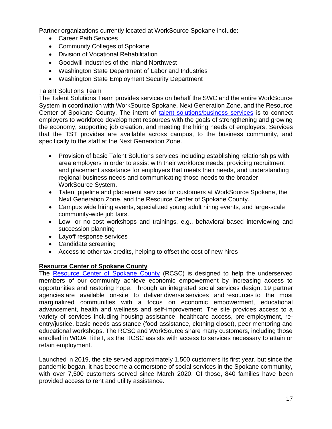Partner organizations currently located at WorkSource Spokane include:

- Career Path Services
- Community Colleges of Spokane
- Division of Vocational Rehabilitation
- Goodwill Industries of the Inland Northwest
- Washington State Department of Labor and Industries
- Washington State Employment Security Department

#### Talent Solutions Team

The Talent Solutions Team provides services on behalf the SWC and the entire WorkSource System in coordination with WorkSource Spokane, Next Generation Zone, and the Resource Center of Spokane County. The intent of [talent solutions/](https://wdcspokane.com/employer-resources)business services is to connect employers to workforce development resources with the goals of strengthening and growing the economy, supporting job creation, and meeting the hiring needs of employers. Services that the TST provides are available across campus, to the business community, and specifically to the staff at the Next Generation Zone.

- Provision of basic Talent Solutions services including establishing relationships with area employers in order to assist with their workforce needs, providing recruitment and placement assistance for employers that meets their needs, and understanding regional business needs and communicating those needs to the broader WorkSource System.
- Talent pipeline and placement services for customers at WorkSource Spokane, the Next Generation Zone, and the Resource Center of Spokane County.
- Campus wide hiring events, specialized young adult hiring events, and large-scale community-wide job fairs.
- Low- or no-cost workshops and trainings, e.g., behavioral-based interviewing and succession planning
- Layoff [response](http://wdcspokane.com/layoff-response) services
- Candidate screening
- Access to other tax credits, helping to offset the cost of new hires

## **Resource Center of Spokane County**

The [Resource Center of Spokane County](https://spokaneresourcecenter.org/) (RCSC) is designed to help the underserved members of our community achieve economic empowerment by increasing access to opportunities and restoring hope. Through an integrated social services design, [19](https://spokaneresourcecenter.org/agency-partners) partner agencies are available on-site to deliver diverse services and resources to the most marginalized communities with a focus on economic empowerment, educational advancement, health and wellness and self-improvement. The site provides access to a variety of services including housing assistance, healthcare access, pre-employment, reentry/justice, basic needs assistance (food assistance, clothing closet), peer mentoring and educational workshops. The RCSC and WorkSource share many customers, including those enrolled in WIOA Title I, as the RCSC assists with access to services necessary to attain or retain employment.

Launched in 2019, the site served approximately 1,500 customers its first year, but since the pandemic began, it has become a cornerstone of social services in the Spokane community, with over 7,500 customers served since March 2020. Of those, 840 families have been provided access to rent and utility assistance.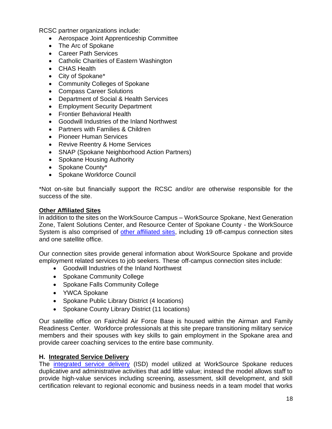RCSC partner organizations include:

- Aerospace Joint Apprenticeship Committee
- The Arc of Spokane
- Career Path Services
- Catholic Charities of Eastern Washington
- CHAS Health
- City of Spokane\*
- Community Colleges of Spokane
- Compass Career Solutions
- Department of Social & Health Services
- Employment Security Department
- Frontier Behavioral Health
- Goodwill Industries of the Inland Northwest
- Partners with Families & Children
- Pioneer Human Services
- Revive Reentry & Home Services
- SNAP (Spokane Neighborhood Action Partners)
- Spokane Housing Authority
- Spokane County\*
- Spokane Workforce Council

\*Not on-site but financially support the RCSC and/or are otherwise responsible for the success of the site.

#### **Other Affiliated Sites**

In addition to the sites on the WorkSource Campus – WorkSource Spokane, Next Generation Zone, Talent Solutions Center, and Resource Center of Spokane County - the WorkSource System is also comprised of [other affiliated sites,](https://worksourcespokane.com/partners) including 19 off-campus connection sites and one satellite office.

Our connection sites provide general information about WorkSource Spokane and provide employment related services to job seekers. These off-campus connection sites include:

- Goodwill Industries of the Inland Northwest
- Spokane Community College
- Spokane Falls Community College
- YWCA Spokane
- Spokane Public Library District (4 locations)
- Spokane County Library District (11 locations)

Our satellite office on Fairchild Air Force Base is housed within the Airman and Family Readiness Center. Workforce professionals at this site prepare transitioning military service members and their spouses with key skills to gain employment in the Spokane area and provide career coaching services to the entire base community.

#### **H. Integrated Service Delivery**

The [integrated service delivery](https://spokaneworkforce.org/human-centered-design/) (ISD) model utilized at WorkSource Spokane reduces duplicative and administrative activities that add little value; instead the model allows staff to provide high-value services including screening, assessment, skill development, and skill certification relevant to regional economic and business needs in a team model that works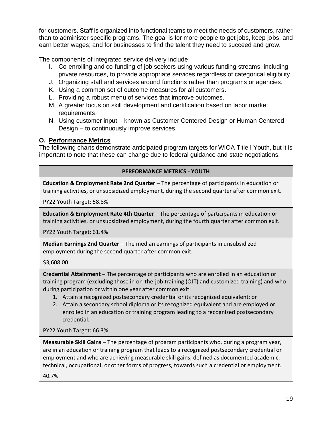for customers. Staff is organized into functional teams to meet the needs of customers, rather than to administer specific programs. The goal is for more people to get jobs, keep jobs, and earn better wages; and for businesses to find the talent they need to succeed and grow.

The components of integrated service delivery include:

- I. Co-enrolling and co-funding of job seekers using various funding streams, including private resources, to provide appropriate services regardless of categorical eligibility.
- J. Organizing staff and services around functions rather than programs or agencies.
- K. Using a common set of outcome measures for all customers.
- L. Providing a robust menu of services that improve outcomes.
- M. A greater focus on skill development and certification based on labor market requirements.
- N. Using customer input known as Customer Centered Design or Human Centered Design – to continuously improve services.

# **O. Performance Metrics**

The following charts demonstrate anticipated program targets for WIOA Title I Youth, but it is important to note that these can change due to federal guidance and state negotiations.

## **PERFORMANCE METRICS - YOUTH**

**Education & Employment Rate 2nd Quarter** – The percentage of participants in education or training activities, or unsubsidized employment, during the second quarter after common exit.

PY22 Youth Target: 58.8%

**Education & Employment Rate 4th Quarter** – The percentage of participants in education or training activities, or unsubsidized employment, during the fourth quarter after common exit.

PY22 Youth Target: 61.4%

**Median Earnings 2nd Quarter** – The median earnings of participants in unsubsidized employment during the second quarter after common exit.

## \$3,608.00

**Credential Attainment –** The percentage of participants who are enrolled in an education or training program (excluding those in on-the-job training (OJT) and customized training) and who during participation or within one year after common exit:

- 1. Attain a recognized postsecondary credential or its recognized equivalent; or
- 2. Attain a secondary school diploma or its recognized equivalent and are employed or enrolled in an education or training program leading to a recognized postsecondary credential.

PY22 Youth Target: 66.3%

**Measurable Skill Gains** – The percentage of program participants who, during a program year, are in an education or training program that leads to a recognized postsecondary credential or employment and who are achieving measurable skill gains, defined as documented academic, technical, occupational, or other forms of progress, towards such a credential or employment.

40.7%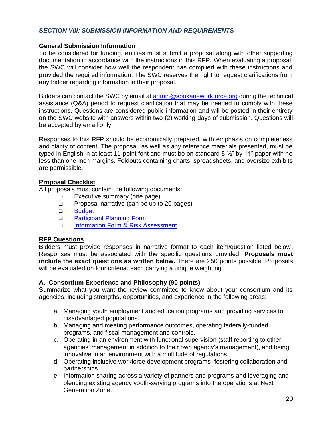#### **General Submission Information**

To be considered for funding, entities must submit a proposal along with other supporting documentation in accordance with the instructions in this RFP. When evaluating a proposal, the SWC will consider how well the respondent has complied with these instructions and provided the required information. The SWC reserves the right to request clarifications from any bidder regarding information in their proposal.

Bidders can contact the SWC by email at [admin@spokaneworkforce.org](mailto:admin@spokaneworkforce.org) during the technical assistance (Q&A) period to request clarification that may be needed to comply with these instructions. Questions are considered public information and will be posted in their entirety on the SWC website with answers within two (2) working days of submission. Questions will be accepted by email only.

Responses to this RFP should be economically prepared, with emphasis on completeness and clarity of content. The proposal, as well as any reference materials presented, must be typed in English in at least 11-point font and must be on standard 8 ½" by 11" paper with no less than one-inch margins. Foldouts containing charts, spreadsheets, and oversize exhibits are permissible.

#### **Proposal Checklist**

All proposals must contain the following documents:

- ❑ Executive summary (one page)
- ❑ Proposal narrative (can be up to 20 pages)
- ❑ [Budget](https://spokaneworkforce.org/wp-content/uploads/2022/01/Sub-budget-template-With-Direct-Client-Services.xlsx)
- ❑ [Participant Planning](https://spokaneworkforce.org/wp-content/uploads/2022/02/WIOA-Youth-RFP-PY22-Participant-Planning.xlsx) Form
- ❑ [Information Form & Risk Assessment](https://spokaneworkforce.org/wp-content/uploads/2022/01/Standard-Applicant-Pre-Award-Risk-Assessment.docx)

## **RFP Questions**

Bidders must provide responses in narrative format to each item/question listed below. Responses must be associated with the specific questions provided. **Proposals must include the exact questions as written below.** There are 250 points possible. Proposals will be evaluated on four criteria, each carrying a unique weighting.

## **A. Consortium Experience and Philosophy (90 points)**

Summarize what you want the review committee to know about your consortium and its agencies, including strengths, opportunities, and experience in the following areas:

- a. Managing youth employment and education programs and providing services to disadvantaged populations.
- b. Managing and meeting performance outcomes, operating federally-funded programs, and fiscal management and controls.
- c. Operating in an environment with functional supervision (staff reporting to other agencies' management in addition to their own agency's management), and being innovative in an environment with a multitude of regulations.
- d. Operating inclusive workforce development programs, fostering collaboration and partnerships.
- e. Information sharing across a variety of partners and programs and leveraging and blending existing agency youth-serving programs into the operations at Next Generation Zone.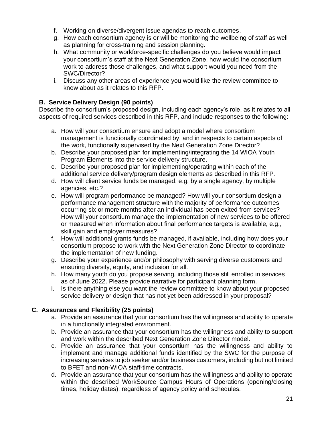- f. Working on diverse/divergent issue agendas to reach outcomes.
- g. How each consortium agency is or will be monitoring the wellbeing of staff as well as planning for cross-training and session planning.
- h. What community or workforce-specific challenges do you believe would impact your consortium's staff at the Next Generation Zone, how would the consortium work to address those challenges, and what support would you need from the SWC/Director?
- i. Discuss any other areas of experience you would like the review committee to know about as it relates to this RFP.

## **B. Service Delivery Design (90 points)**

Describe the consortium's proposed design, including each agency's role, as it relates to all aspects of required services described in this RFP, and include responses to the following:

- a. How will your consortium ensure and adopt a model where consortium management is functionally coordinated by, and in respects to certain aspects of the work, functionally supervised by the Next Generation Zone Director?
- b. Describe your proposed plan for implementing/integrating the 14 WIOA Youth Program Elements into the service delivery structure.
- c. Describe your proposed plan for implementing/operating within each of the additional service delivery/program design elements as described in this RFP.
- d. How will client service funds be managed, e.g. by a single agency, by multiple agencies, etc.?
- e. How will program performance be managed? How will your consortium design a performance management structure with the majority of performance outcomes occurring six or more months after an individual has been exited from services? How will your consortium manage the implementation of new services to be offered or measured when information about final performance targets is available, e.g., skill gain and employer measures?
- f. How will additional grants funds be managed, if available, including how does your consortium propose to work with the Next Generation Zone Director to coordinate the implementation of new funding.
- g. Describe your experience and/or philosophy with serving diverse customers and ensuring diversity, equity, and inclusion for all.
- h. How many youth do you propose serving, including those still enrolled in services as of June 2022. Please provide narrative for participant planning form.
- i. Is there anything else you want the review committee to know about your proposed service delivery or design that has not yet been addressed in your proposal?

# **C. Assurances and Flexibility (25 points)**

- a. Provide an assurance that your consortium has the willingness and ability to operate in a functionally integrated environment.
- b. Provide an assurance that your consortium has the willingness and ability to support and work within the described Next Generation Zone Director model.
- c. Provide an assurance that your consortium has the willingness and ability to implement and manage additional funds identified by the SWC for the purpose of increasing services to job seeker and/or business customers, including but not limited to BFET and non-WIOA staff-time contracts.
- d. Provide an assurance that your consortium has the willingness and ability to operate within the described WorkSource Campus Hours of Operations (opening/closing times, holiday dates), regardless of agency policy and schedules.